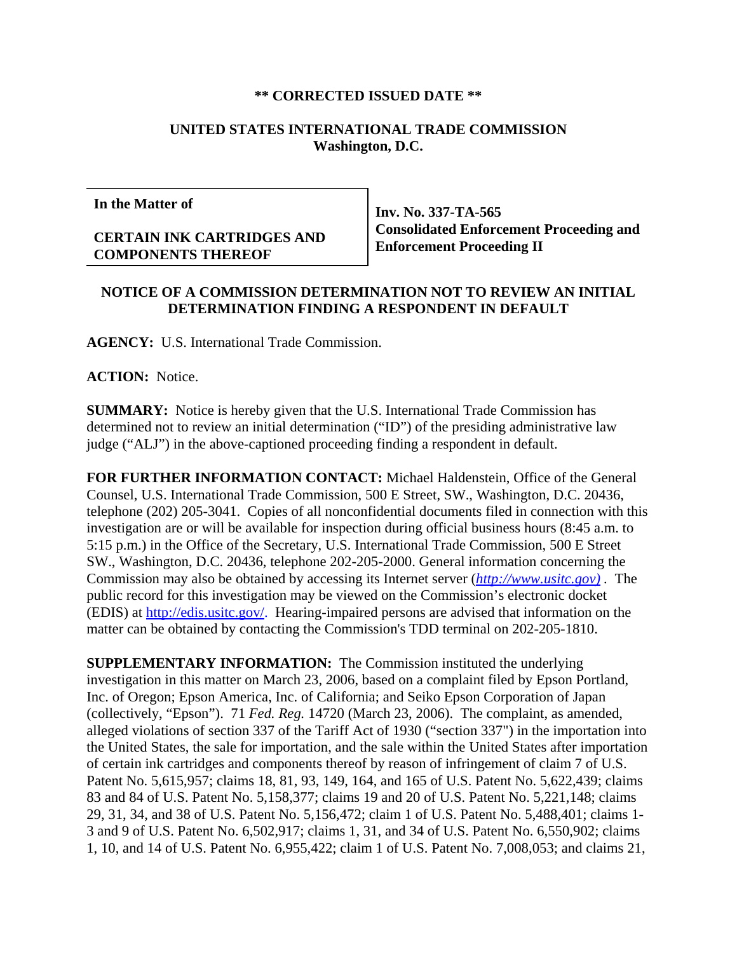## **\*\* CORRECTED ISSUED DATE \*\***

## **UNITED STATES INTERNATIONAL TRADE COMMISSION Washington, D.C.**

**In the Matter of**

## **CERTAIN INK CARTRIDGES AND COMPONENTS THEREOF**

**Inv. No. 337-TA-565 Consolidated Enforcement Proceeding and Enforcement Proceeding II**

## **NOTICE OF A COMMISSION DETERMINATION NOT TO REVIEW AN INITIAL DETERMINATION FINDING A RESPONDENT IN DEFAULT**

**AGENCY:** U.S. International Trade Commission.

**ACTION:** Notice.

**SUMMARY:** Notice is hereby given that the U.S. International Trade Commission has determined not to review an initial determination ("ID") of the presiding administrative law judge ("ALJ") in the above-captioned proceeding finding a respondent in default.

**FOR FURTHER INFORMATION CONTACT:** Michael Haldenstein, Office of the General Counsel, U.S. International Trade Commission, 500 E Street, SW., Washington, D.C. 20436, telephone (202) 205-3041. Copies of all nonconfidential documents filed in connection with this investigation are or will be available for inspection during official business hours (8:45 a.m. to 5:15 p.m.) in the Office of the Secretary, U.S. International Trade Commission, 500 E Street SW., Washington, D.C. 20436, telephone 202-205-2000. General information concerning the Commission may also be obtained by accessing its Internet server (*http://www.usitc.gov) .* The public record for this investigation may be viewed on the Commission's electronic docket (EDIS) at http://edis.usitc.gov/. Hearing-impaired persons are advised that information on the matter can be obtained by contacting the Commission's TDD terminal on 202-205-1810.

**SUPPLEMENTARY INFORMATION:** The Commission instituted the underlying investigation in this matter on March 23, 2006, based on a complaint filed by Epson Portland, Inc. of Oregon; Epson America, Inc. of California; and Seiko Epson Corporation of Japan (collectively, "Epson"). 71 *Fed. Reg.* 14720 (March 23, 2006). The complaint, as amended, alleged violations of section 337 of the Tariff Act of 1930 ("section 337") in the importation into the United States, the sale for importation, and the sale within the United States after importation of certain ink cartridges and components thereof by reason of infringement of claim 7 of U.S. Patent No. 5,615,957; claims 18, 81, 93, 149, 164, and 165 of U.S. Patent No. 5,622,439; claims 83 and 84 of U.S. Patent No. 5,158,377; claims 19 and 20 of U.S. Patent No. 5,221,148; claims 29, 31, 34, and 38 of U.S. Patent No. 5,156,472; claim 1 of U.S. Patent No. 5,488,401; claims 1- 3 and 9 of U.S. Patent No. 6,502,917; claims 1, 31, and 34 of U.S. Patent No. 6,550,902; claims 1, 10, and 14 of U.S. Patent No. 6,955,422; claim 1 of U.S. Patent No. 7,008,053; and claims 21,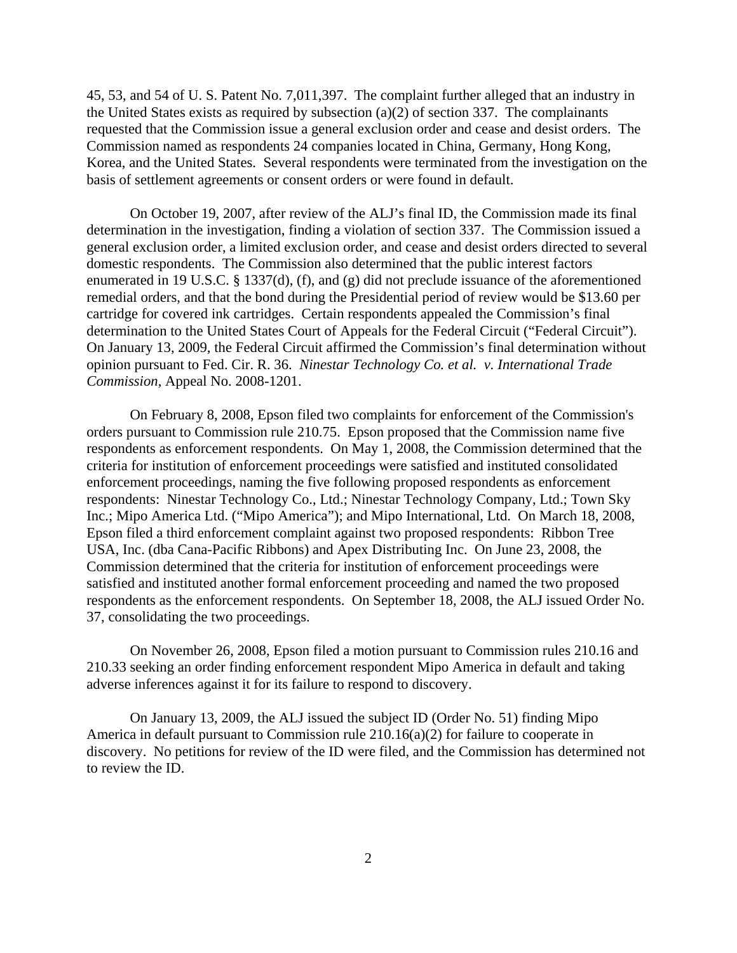45, 53, and 54 of U. S. Patent No. 7,011,397. The complaint further alleged that an industry in the United States exists as required by subsection  $(a)(2)$  of section 337. The complainants requested that the Commission issue a general exclusion order and cease and desist orders. The Commission named as respondents 24 companies located in China, Germany, Hong Kong, Korea, and the United States. Several respondents were terminated from the investigation on the basis of settlement agreements or consent orders or were found in default.

On October 19, 2007, after review of the ALJ's final ID, the Commission made its final determination in the investigation, finding a violation of section 337. The Commission issued a general exclusion order, a limited exclusion order, and cease and desist orders directed to several domestic respondents. The Commission also determined that the public interest factors enumerated in 19 U.S.C. § 1337(d), (f), and (g) did not preclude issuance of the aforementioned remedial orders, and that the bond during the Presidential period of review would be \$13.60 per cartridge for covered ink cartridges. Certain respondents appealed the Commission's final determination to the United States Court of Appeals for the Federal Circuit ("Federal Circuit"). On January 13, 2009, the Federal Circuit affirmed the Commission's final determination without opinion pursuant to Fed. Cir. R. 36. *Ninestar Technology Co. et al. v. International Trade Commission*, Appeal No. 2008-1201.

On February 8, 2008, Epson filed two complaints for enforcement of the Commission's orders pursuant to Commission rule 210.75. Epson proposed that the Commission name five respondents as enforcement respondents. On May 1, 2008, the Commission determined that the criteria for institution of enforcement proceedings were satisfied and instituted consolidated enforcement proceedings, naming the five following proposed respondents as enforcement respondents: Ninestar Technology Co., Ltd.; Ninestar Technology Company, Ltd.; Town Sky Inc.; Mipo America Ltd. ("Mipo America"); and Mipo International, Ltd. On March 18, 2008, Epson filed a third enforcement complaint against two proposed respondents: Ribbon Tree USA, Inc. (dba Cana-Pacific Ribbons) and Apex Distributing Inc. On June 23, 2008, the Commission determined that the criteria for institution of enforcement proceedings were satisfied and instituted another formal enforcement proceeding and named the two proposed respondents as the enforcement respondents. On September 18, 2008, the ALJ issued Order No. 37, consolidating the two proceedings.

On November 26, 2008, Epson filed a motion pursuant to Commission rules 210.16 and 210.33 seeking an order finding enforcement respondent Mipo America in default and taking adverse inferences against it for its failure to respond to discovery.

On January 13, 2009, the ALJ issued the subject ID (Order No. 51) finding Mipo America in default pursuant to Commission rule 210.16(a)(2) for failure to cooperate in discovery. No petitions for review of the ID were filed, and the Commission has determined not to review the ID.